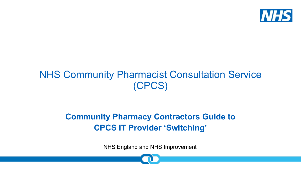

## NHS Community Pharmacist Consultation Service (CPCS)

#### **Community Pharmacy Contractors Guide to CPCS IT Provider 'Switching'**

NHS England and NHS Improvement

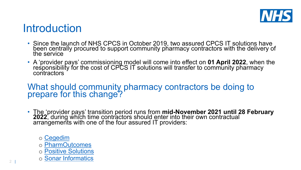## Introduction

- Since the launch of NHS CPCS in October 2019, two ass been centrally procured to support community pharmacy the service
- A ['provider pa](http://www.cegedimrx.co.uk/pharmacy-services?hsLang=en-gb)ys' commissioning model will come into effect on **A** 'provider pays' commissioning model will come into effect re[sponsibility for the c](https://pharmoutcomes.org/pharmoutcomes/help/home?cpcs)ost of CPCS IT solutions will transfe c[ontractors](http://www.positive-solutions.co.uk/hxconsult/)

#### What should community pharmacy contrad prepare for this change?

- The 'provider pays' transition period runs from **mid-Nover 2022**, during which time contractors should enter into their arrangements with one of the four assured IT providers:
	- o Cegedim
	- o PharmOutcomes
	- o Positive Solutions
	- o Sonar Informatics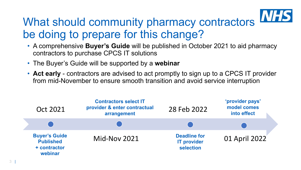

## What should community pharmacy contractors be doing to prepare for this change?

- A comprehensive **Buyer's Guide** will be published in October 2021 to aid pharmacy contractors to purchase CPCS IT solutions
- The Buyer's Guide will be supported by a **webinar**
- **Act early**  contractors are advised to act promptly to sign up to a CPCS IT provider from mid-November to ensure smooth transition and avoid service interruption

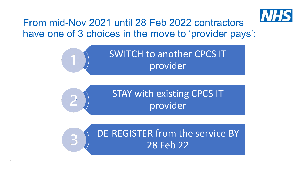

### From mid-Nov 2021 until 28 Feb 2022 contractors have one of 3 choices in the move to 'provider pays':





DE-REGISTER from the service BY 28 Feb 22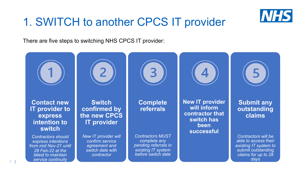

## 1. SWITCH to another CPCS IT provider

There are five steps to switching NHS CPCS IT provider:



*Contractors should express intentions from mid Nov-21 until 28 Feb-22 at the latest to maintain service continuity*

*New IT provider will confirm service agreement and switch date with contractor*

*Contractors MUST complete any pending referrals in existing IT system before switch date*

**successful**

**Submit any outstanding claims**

*Contractors will be able to access their existing IT system to submit outstanding claims for up to 28 days*

5 |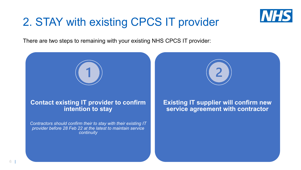![](_page_5_Picture_0.jpeg)

# 2. STAY with existing CPCS IT provider

There are two steps to remaining with your existing NHS CPCS IT provider:

**Contact existing IT provider to confirm intention to stay**

*Contractors should confirm their to stay with their existing IT provider before 28 Feb 22 at the latest to maintain service continuity*

**Existing IT supplier will confirm new service agreement with contractor**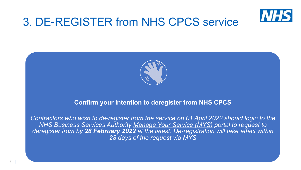![](_page_6_Picture_0.jpeg)

## 3. DE-REGISTER from NHS CPCS service

![](_page_6_Picture_2.jpeg)

#### **Confirm your intention to deregister from NHS CPCS**

*Contractors who wish to de-register from the service on 01 April 2022 should login to the NHS Business Services Authority Manage Your Service (MYS) portal to request to deregister from by 28 February 2022 at the latest. De-registration will take effect within 28 days of the request via MYS*